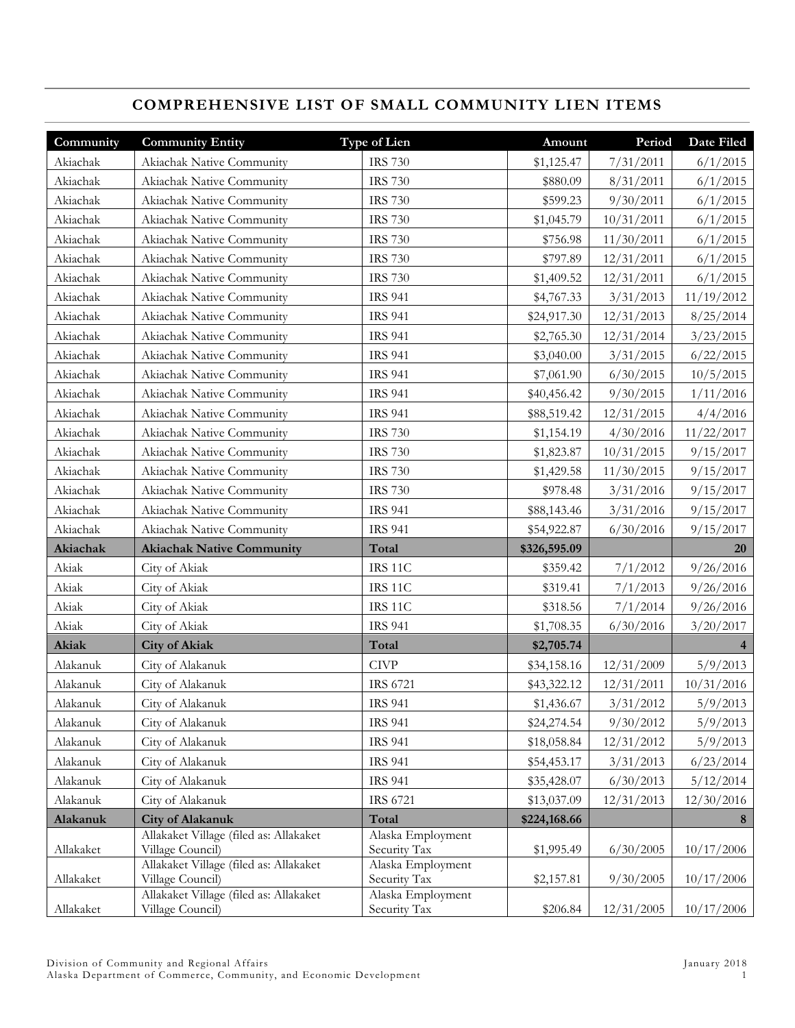# **COMPREHENSIVE LIST OF SMALL COMMUNITY LIEN ITEMS**

| Community | <b>Community Entity</b>                                    | <b>Type of Lien</b>                | Amount       | Period     | Date Filed     |
|-----------|------------------------------------------------------------|------------------------------------|--------------|------------|----------------|
| Akiachak  | Akiachak Native Community                                  | <b>IRS 730</b>                     | \$1,125.47   | 7/31/2011  | 6/1/2015       |
| Akiachak  | Akiachak Native Community                                  | <b>IRS 730</b>                     | \$880.09     | 8/31/2011  | 6/1/2015       |
| Akiachak  | Akiachak Native Community                                  | <b>IRS 730</b>                     | \$599.23     | 9/30/2011  | 6/1/2015       |
| Akiachak  | Akiachak Native Community                                  | <b>IRS 730</b>                     | \$1,045.79   | 10/31/2011 | 6/1/2015       |
| Akiachak  | Akiachak Native Community                                  | <b>IRS 730</b>                     | \$756.98     | 11/30/2011 | 6/1/2015       |
| Akiachak  | Akiachak Native Community                                  | <b>IRS 730</b>                     | \$797.89     | 12/31/2011 | 6/1/2015       |
| Akiachak  | Akiachak Native Community                                  | <b>IRS 730</b>                     | \$1,409.52   | 12/31/2011 | 6/1/2015       |
| Akiachak  | Akiachak Native Community                                  | <b>IRS 941</b>                     | \$4,767.33   | 3/31/2013  | 11/19/2012     |
| Akiachak  | Akiachak Native Community                                  | <b>IRS 941</b>                     | \$24,917.30  | 12/31/2013 | 8/25/2014      |
| Akiachak  | Akiachak Native Community                                  | <b>IRS 941</b>                     | \$2,765.30   | 12/31/2014 | 3/23/2015      |
| Akiachak  | Akiachak Native Community                                  | <b>IRS 941</b>                     | \$3,040.00   | 3/31/2015  | 6/22/2015      |
| Akiachak  | Akiachak Native Community                                  | <b>IRS 941</b>                     | \$7,061.90   | 6/30/2015  | 10/5/2015      |
| Akiachak  | Akiachak Native Community                                  | <b>IRS 941</b>                     | \$40,456.42  | 9/30/2015  | 1/11/2016      |
| Akiachak  | Akiachak Native Community                                  | <b>IRS 941</b>                     | \$88,519.42  | 12/31/2015 | 4/4/2016       |
| Akiachak  | Akiachak Native Community                                  | <b>IRS 730</b>                     | \$1,154.19   | 4/30/2016  | 11/22/2017     |
| Akiachak  | Akiachak Native Community                                  | <b>IRS 730</b>                     | \$1,823.87   | 10/31/2015 | 9/15/2017      |
| Akiachak  | Akiachak Native Community                                  | <b>IRS 730</b>                     | \$1,429.58   | 11/30/2015 | 9/15/2017      |
| Akiachak  | Akiachak Native Community                                  | <b>IRS 730</b>                     | \$978.48     | 3/31/2016  | 9/15/2017      |
| Akiachak  | Akiachak Native Community                                  | <b>IRS 941</b>                     | \$88,143.46  | 3/31/2016  | 9/15/2017      |
| Akiachak  | Akiachak Native Community                                  | <b>IRS 941</b>                     | \$54,922.87  | 6/30/2016  | 9/15/2017      |
| Akiachak  | <b>Akiachak Native Community</b>                           | Total                              | \$326,595.09 |            | 20             |
| Akiak     | City of Akiak                                              | IRS 11C                            | \$359.42     | 7/1/2012   | 9/26/2016      |
| Akiak     | City of Akiak                                              | IRS 11C                            | \$319.41     | 7/1/2013   | 9/26/2016      |
| Akiak     | City of Akiak                                              | IRS 11C                            | \$318.56     | 7/1/2014   | 9/26/2016      |
| Akiak     | City of Akiak                                              | <b>IRS 941</b>                     | \$1,708.35   | 6/30/2016  | 3/20/2017      |
| Akiak     | <b>City of Akiak</b>                                       | Total                              | \$2,705.74   |            | $\overline{4}$ |
| Alakanuk  | City of Alakanuk                                           | ${\cal C}{\cal I}{\cal V}{\cal P}$ | \$34,158.16  | 12/31/2009 | 5/9/2013       |
| Alakanuk  | City of Alakanuk                                           | <b>IRS 6721</b>                    | \$43,322.12  | 12/31/2011 | 10/31/2016     |
| Alakanuk  | City of Alakanuk                                           | <b>IRS 941</b>                     | \$1,436.67   | 3/31/2012  | 5/9/2013       |
| Alakanuk  | City of Alakanuk                                           | <b>IRS 941</b>                     | \$24,274.54  | 9/30/2012  | 5/9/2013       |
| Alakanuk  | City of Alakanuk                                           | <b>IRS 941</b>                     | \$18,058.84  | 12/31/2012 | 5/9/2013       |
| Alakanuk  | City of Alakanuk                                           | <b>IRS 941</b>                     | \$54,453.17  | 3/31/2013  | 6/23/2014      |
| Alakanuk  | City of Alakanuk                                           | <b>IRS 941</b>                     | \$35,428.07  | 6/30/2013  | 5/12/2014      |
| Alakanuk  | City of Alakanuk                                           | IRS 6721                           | \$13,037.09  | 12/31/2013 | 12/30/2016     |
| Alakanuk  | <b>City of Alakanuk</b>                                    | Total                              | \$224,168.66 |            | 8              |
|           | Allakaket Village (filed as: Allakaket                     | Alaska Employment                  |              |            |                |
| Allakaket | Village Council)<br>Allakaket Village (filed as: Allakaket | Security Tax<br>Alaska Employment  | \$1,995.49   | 6/30/2005  | 10/17/2006     |
| Allakaket | Village Council)                                           | Security Tax                       | \$2,157.81   | 9/30/2005  | 10/17/2006     |
|           | Allakaket Village (filed as: Allakaket                     | Alaska Employment                  |              |            |                |
| Allakaket | Village Council)                                           | Security Tax                       | \$206.84     | 12/31/2005 | 10/17/2006     |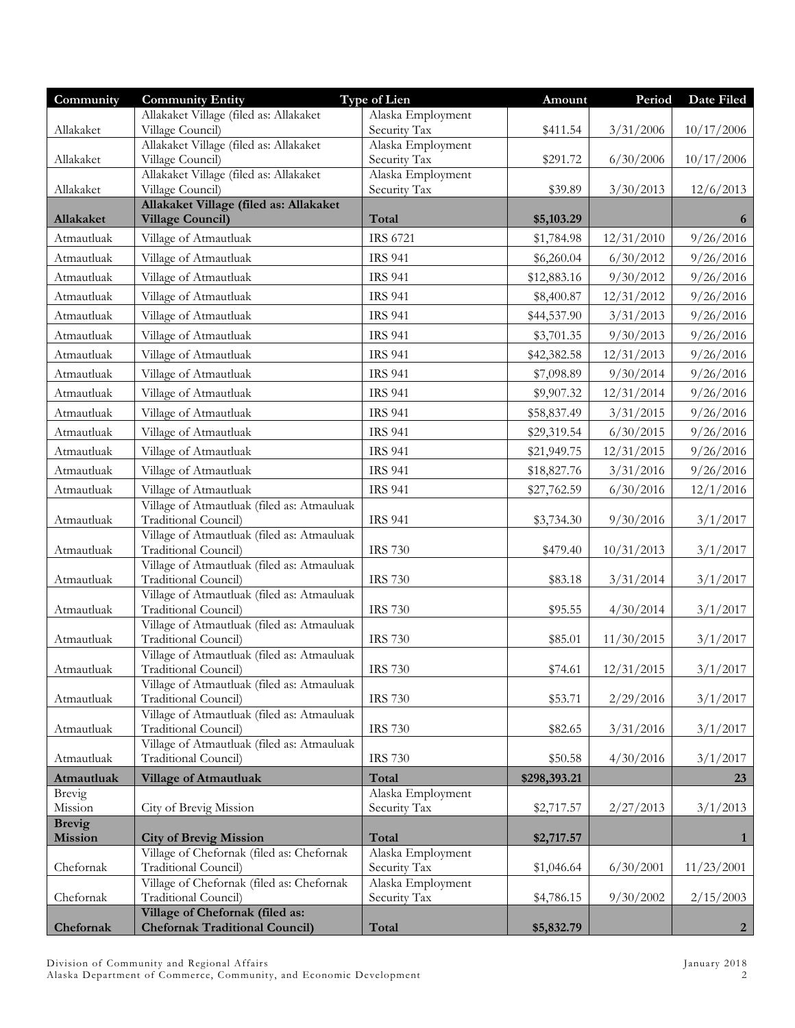| Community            | <b>Community Entity</b>                                            | <b>Type of Lien</b>               | Amount       | Period     | Date Filed     |
|----------------------|--------------------------------------------------------------------|-----------------------------------|--------------|------------|----------------|
|                      | Allakaket Village (filed as: Allakaket                             | Alaska Employment                 |              |            |                |
| Allakaket            | Village Council)                                                   | Security Tax                      | \$411.54     | 3/31/2006  | 10/17/2006     |
| Allakaket            | Allakaket Village (filed as: Allakaket<br>Village Council)         | Alaska Employment<br>Security Tax | \$291.72     | 6/30/2006  | 10/17/2006     |
|                      | Allakaket Village (filed as: Allakaket                             | Alaska Employment                 |              |            |                |
| Allakaket            | Village Council)                                                   | Security Tax                      | \$39.89      | 3/30/2013  | 12/6/2013      |
|                      | Allakaket Village (filed as: Allakaket                             |                                   |              |            |                |
| Allakaket            | <b>Village Council)</b>                                            | Total                             | \$5,103.29   |            | 6              |
| Atmautluak           | Village of Atmautluak                                              | <b>IRS 6721</b>                   | \$1,784.98   | 12/31/2010 | 9/26/2016      |
| Atmautluak           | Village of Atmautluak                                              | <b>IRS 941</b>                    | \$6,260.04   | 6/30/2012  | 9/26/2016      |
| Atmautluak           | Village of Atmautluak                                              | <b>IRS 941</b>                    | \$12,883.16  | 9/30/2012  | 9/26/2016      |
| Atmautluak           | Village of Atmautluak                                              | <b>IRS 941</b>                    | \$8,400.87   | 12/31/2012 | 9/26/2016      |
| Atmautluak           | Village of Atmautluak                                              | <b>IRS 941</b>                    | \$44,537.90  | 3/31/2013  | 9/26/2016      |
| Atmautluak           | Village of Atmautluak                                              | <b>IRS 941</b>                    | \$3,701.35   | 9/30/2013  | 9/26/2016      |
| Atmautluak           | Village of Atmautluak                                              | <b>IRS 941</b>                    | \$42,382.58  | 12/31/2013 | 9/26/2016      |
| Atmautluak           | Village of Atmautluak                                              | <b>IRS 941</b>                    | \$7,098.89   | 9/30/2014  | 9/26/2016      |
| Atmautluak           | Village of Atmautluak                                              | <b>IRS 941</b>                    | \$9,907.32   | 12/31/2014 | 9/26/2016      |
| Atmautluak           | Village of Atmautluak                                              | <b>IRS 941</b>                    | \$58,837.49  | 3/31/2015  | 9/26/2016      |
| Atmautluak           | Village of Atmautluak                                              | <b>IRS 941</b>                    | \$29,319.54  | 6/30/2015  | 9/26/2016      |
| Atmautluak           | Village of Atmautluak                                              | <b>IRS 941</b>                    | \$21,949.75  | 12/31/2015 | 9/26/2016      |
| Atmautluak           | Village of Atmautluak                                              | <b>IRS 941</b>                    | \$18,827.76  | 3/31/2016  | 9/26/2016      |
| Atmautluak           | Village of Atmautluak                                              | <b>IRS 941</b>                    | \$27,762.59  | 6/30/2016  | 12/1/2016      |
|                      | Village of Atmautluak (filed as: Atmauluak                         |                                   |              |            |                |
| Atmautluak           | Traditional Council)                                               | <b>IRS 941</b>                    | \$3,734.30   | 9/30/2016  | 3/1/2017       |
| Atmautluak           | Village of Atmautluak (filed as: Atmauluak<br>Traditional Council) | <b>IRS 730</b>                    | \$479.40     | 10/31/2013 |                |
|                      | Village of Atmautluak (filed as: Atmauluak                         |                                   |              |            | 3/1/2017       |
| Atmautluak           | Traditional Council)                                               | <b>IRS 730</b>                    | \$83.18      | 3/31/2014  | 3/1/2017       |
|                      | Village of Atmautluak (filed as: Atmauluak                         |                                   |              |            |                |
| Atmautluak           | Traditional Council)<br>Village of Atmautluak (filed as: Atmauluak | <b>IRS 730</b>                    | \$95.55      | 4/30/2014  | 3/1/2017       |
| Atmautluak           | Traditional Council)                                               | <b>IRS 730</b>                    | \$85.01      | 11/30/2015 | 3/1/2017       |
|                      | Village of Atmautluak (filed as: Atmauluak                         |                                   |              |            |                |
| Atmautluak           | Traditional Council)                                               | $\mathrm{IRS}$ 730                | \$74.61      | 12/31/2015 | 3/1/2017       |
| Atmautluak           | Village of Atmautluak (filed as: Atmauluak<br>Traditional Council) | <b>IRS 730</b>                    | \$53.71      | 2/29/2016  | 3/1/2017       |
|                      | Village of Atmautluak (filed as: Atmauluak                         |                                   |              |            |                |
| Atmautluak           | Traditional Council)                                               | <b>IRS 730</b>                    | \$82.65      | 3/31/2016  | 3/1/2017       |
|                      | Village of Atmautluak (filed as: Atmauluak                         |                                   |              |            |                |
| Atmautluak           | Traditional Council)                                               | <b>IRS 730</b>                    | \$50.58      | 4/30/2016  | 3/1/2017       |
| Atmautluak<br>Brevig | <b>Village of Atmautluak</b>                                       | Total<br>Alaska Employment        | \$298,393.21 |            | 23             |
| Mission              | City of Brevig Mission                                             | Security Tax                      | \$2,717.57   | 2/27/2013  | 3/1/2013       |
| <b>Brevig</b>        |                                                                    |                                   |              |            |                |
| <b>Mission</b>       | <b>City of Brevig Mission</b>                                      | Total                             | \$2,717.57   |            | $\mathbf{1}$   |
| Chefornak            | Village of Chefornak (filed as: Chefornak<br>Traditional Council)  | Alaska Employment<br>Security Tax | \$1,046.64   | 6/30/2001  | 11/23/2001     |
|                      | Village of Chefornak (filed as: Chefornak                          | Alaska Employment                 |              |            |                |
| Chefornak            | Traditional Council)                                               | Security Tax                      | \$4,786.15   | 9/30/2002  | 2/15/2003      |
|                      | Village of Chefornak (filed as:                                    |                                   |              |            |                |
| Chefornak            | <b>Chefornak Traditional Council)</b>                              | Total                             | \$5,832.79   |            | $\overline{2}$ |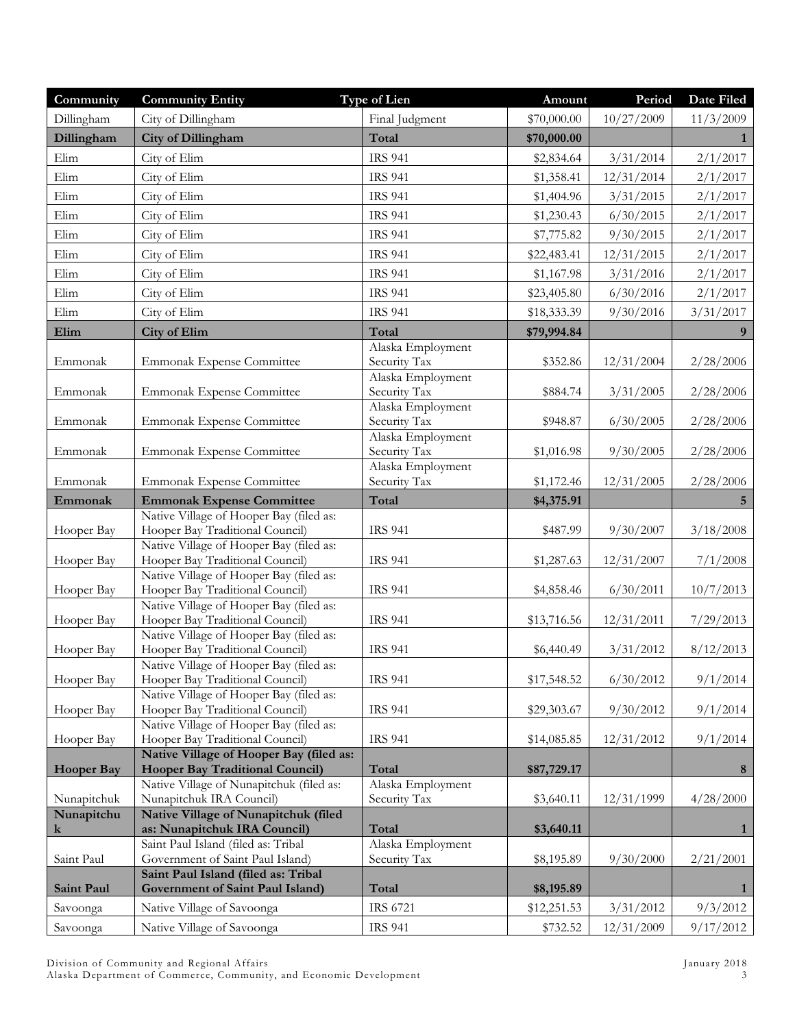| Community                 | <b>Community Entity</b>                                                     | <b>Type of Lien</b>               | Amount      | Period     | Date Filed   |
|---------------------------|-----------------------------------------------------------------------------|-----------------------------------|-------------|------------|--------------|
| Dillingham                | City of Dillingham                                                          | Final Judgment                    | \$70,000.00 | 10/27/2009 | 11/3/2009    |
| Dillingham                | <b>City of Dillingham</b>                                                   | Total                             | \$70,000.00 |            |              |
| Elim                      | City of Elim                                                                | <b>IRS 941</b>                    | \$2,834.64  | 3/31/2014  | 2/1/2017     |
| Elim                      | City of Elim                                                                | <b>IRS 941</b>                    | \$1,358.41  | 12/31/2014 | 2/1/2017     |
| Elim                      | City of Elim                                                                | <b>IRS 941</b>                    | \$1,404.96  | 3/31/2015  | 2/1/2017     |
| Elim                      | City of Elim                                                                | <b>IRS 941</b>                    | \$1,230.43  | 6/30/2015  | 2/1/2017     |
| Elim                      | City of Elim                                                                | <b>IRS 941</b>                    | \$7,775.82  | 9/30/2015  | 2/1/2017     |
| Elim                      | City of Elim                                                                | <b>IRS 941</b>                    | \$22,483.41 | 12/31/2015 | 2/1/2017     |
| Elim                      | City of Elim                                                                | <b>IRS 941</b>                    | \$1,167.98  | 3/31/2016  | 2/1/2017     |
| Elim                      | City of Elim                                                                | <b>IRS 941</b>                    | \$23,405.80 | 6/30/2016  | 2/1/2017     |
| Elim                      | City of Elim                                                                | <b>IRS 941</b>                    | \$18,333.39 | 9/30/2016  | 3/31/2017    |
| Elim                      | <b>City of Elim</b>                                                         | Total                             | \$79,994.84 |            | 9            |
|                           |                                                                             | Alaska Employment                 |             |            |              |
| Emmonak                   | Emmonak Expense Committee                                                   | Security Tax                      | \$352.86    | 12/31/2004 | 2/28/2006    |
|                           |                                                                             | Alaska Employment                 |             |            |              |
| Emmonak                   | Emmonak Expense Committee                                                   | Security Tax<br>Alaska Employment | \$884.74    | 3/31/2005  | 2/28/2006    |
| Emmonak                   | Emmonak Expense Committee                                                   | Security Tax                      | \$948.87    | 6/30/2005  | 2/28/2006    |
|                           |                                                                             | Alaska Employment                 |             |            |              |
| Emmonak                   | Emmonak Expense Committee                                                   | Security Tax                      | \$1,016.98  | 9/30/2005  | 2/28/2006    |
|                           |                                                                             | Alaska Employment                 |             |            |              |
| Emmonak                   | Emmonak Expense Committee                                                   | Security Tax                      | \$1,172.46  | 12/31/2005 | 2/28/2006    |
| Emmonak                   | <b>Emmonak Expense Committee</b><br>Native Village of Hooper Bay (filed as: | Total                             | \$4,375.91  |            |              |
| Hooper Bay                | Hooper Bay Traditional Council)                                             | <b>IRS 941</b>                    | \$487.99    | 9/30/2007  | 3/18/2008    |
|                           | Native Village of Hooper Bay (filed as:                                     |                                   |             |            |              |
| Hooper Bay                | Hooper Bay Traditional Council)                                             | <b>IRS 941</b>                    | \$1,287.63  | 12/31/2007 | 7/1/2008     |
| Hooper Bay                | Native Village of Hooper Bay (filed as:<br>Hooper Bay Traditional Council)  | <b>IRS 941</b>                    | \$4,858.46  | 6/30/2011  | 10/7/2013    |
|                           | Native Village of Hooper Bay (filed as:                                     |                                   |             |            |              |
| Hooper Bay                | Hooper Bay Traditional Council)                                             | <b>IRS 941</b>                    | \$13,716.56 | 12/31/2011 | 7/29/2013    |
|                           | Native Village of Hooper Bay (filed as:                                     |                                   |             |            |              |
| Hooper Bay                | Hooper Bay Traditional Council)<br>Native Village of Hooper Bay (filed as:  | <b>IRS 941</b>                    | \$6,440.49  | 3/31/2012  | 8/12/2013    |
| Hooper Bay                | Hooper Bay Traditional Council)                                             | <b>IRS 941</b>                    | \$17,548.52 | 6/30/2012  | 9/1/2014     |
|                           | Native Village of Hooper Bay (filed as:                                     |                                   |             |            |              |
| Hooper Bay                | Hooper Bay Traditional Council)                                             | <b>IRS 941</b>                    | \$29,303.67 | 9/30/2012  | 9/1/2014     |
| Hooper Bay                | Native Village of Hooper Bay (filed as:<br>Hooper Bay Traditional Council)  | <b>IRS 941</b>                    | \$14,085.85 | 12/31/2012 | 9/1/2014     |
|                           | Native Village of Hooper Bay (filed as:                                     |                                   |             |            |              |
| <b>Hooper Bay</b>         | <b>Hooper Bay Traditional Council)</b>                                      | Total                             | \$87,729.17 |            | 8            |
|                           | Native Village of Nunapitchuk (filed as:                                    | Alaska Employment                 |             |            |              |
| Nunapitchuk<br>Nunapitchu | Nunapitchuk IRA Council)<br>Native Village of Nunapitchuk (filed            | Security Tax                      | \$3,640.11  | 12/31/1999 | 4/28/2000    |
| $\bf k$                   | as: Nunapitchuk IRA Council)                                                | Total                             | \$3,640.11  |            | $\mathbf{1}$ |
|                           | Saint Paul Island (filed as: Tribal                                         | Alaska Employment                 |             |            |              |
| Saint Paul                | Government of Saint Paul Island)                                            | Security Tax                      | \$8,195.89  | 9/30/2000  | 2/21/2001    |
| Saint Paul                | Saint Paul Island (filed as: Tribal<br>Government of Saint Paul Island)     | Total                             | \$8,195.89  |            | $\mathbf{1}$ |
| Savoonga                  | Native Village of Savoonga                                                  | <b>IRS 6721</b>                   | \$12,251.53 | 3/31/2012  | 9/3/2012     |
|                           | Native Village of Savoonga                                                  | <b>IRS 941</b>                    | \$732.52    | 12/31/2009 | 9/17/2012    |
| Savoonga                  |                                                                             |                                   |             |            |              |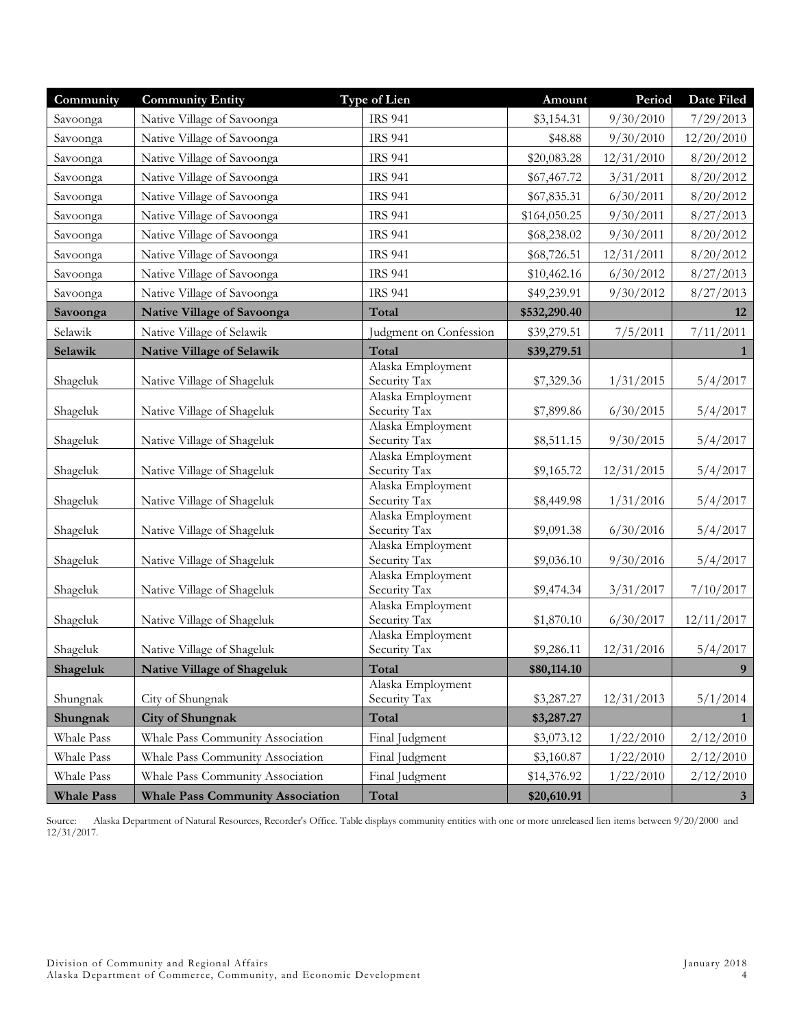| Community         | <b>Community Entity</b>                 | <b>Type of Lien</b>               | Amount       | Period     | Date Filed     |
|-------------------|-----------------------------------------|-----------------------------------|--------------|------------|----------------|
| Savoonga          | Native Village of Savoonga              | <b>IRS 941</b>                    | \$3,154.31   | 9/30/2010  | 7/29/2013      |
| Savoonga          | Native Village of Savoonga              | <b>IRS 941</b>                    | \$48.88      | 9/30/2010  | 12/20/2010     |
| Savoonga          | Native Village of Savoonga              | <b>IRS 941</b>                    | \$20,083.28  | 12/31/2010 | 8/20/2012      |
| Savoonga          | Native Village of Savoonga              | <b>IRS 941</b>                    | \$67,467.72  | 3/31/2011  | 8/20/2012      |
| Savoonga          | Native Village of Savoonga              | <b>IRS 941</b>                    | \$67,835.31  | 6/30/2011  | 8/20/2012      |
| Savoonga          | Native Village of Savoonga              | <b>IRS 941</b>                    | \$164,050.25 | 9/30/2011  | 8/27/2013      |
| Savoonga          | Native Village of Savoonga              | <b>IRS 941</b>                    | \$68,238.02  | 9/30/2011  | 8/20/2012      |
| Savoonga          | Native Village of Savoonga              | <b>IRS 941</b>                    | \$68,726.51  | 12/31/2011 | 8/20/2012      |
| Savoonga          | Native Village of Savoonga              | <b>IRS 941</b>                    | \$10,462.16  | 6/30/2012  | 8/27/2013      |
| Savoonga          | Native Village of Savoonga              | <b>IRS 941</b>                    | \$49,239.91  | 9/30/2012  | 8/27/2013      |
| Savoonga          | Native Village of Savoonga              | Total                             | \$532,290.40 |            | 12             |
| Selawik           | Native Village of Selawik               | Judgment on Confession            | \$39,279.51  | 7/5/2011   | 7/11/2011      |
| Selawik           | <b>Native Village of Selawik</b>        | Total                             | \$39,279.51  |            | $\mathbf{1}$   |
|                   |                                         | Alaska Employment                 |              |            |                |
| Shageluk          | Native Village of Shageluk              | Security Tax                      | \$7,329.36   | 1/31/2015  | 5/4/2017       |
|                   |                                         | Alaska Employment                 |              |            |                |
| Shageluk          | Native Village of Shageluk              | Security Tax<br>Alaska Employment | \$7,899.86   | 6/30/2015  | 5/4/2017       |
| Shageluk          | Native Village of Shageluk              | Security Tax                      | \$8,511.15   | 9/30/2015  | 5/4/2017       |
|                   |                                         | Alaska Employment                 |              |            |                |
| Shageluk          | Native Village of Shageluk              | Security Tax                      | \$9,165.72   | 12/31/2015 | 5/4/2017       |
| Shageluk          | Native Village of Shageluk              | Alaska Employment<br>Security Tax | \$8,449.98   | 1/31/2016  | 5/4/2017       |
|                   |                                         | Alaska Employment                 |              |            |                |
| Shageluk          | Native Village of Shageluk              | Security Tax                      | \$9,091.38   | 6/30/2016  | 5/4/2017       |
|                   |                                         | Alaska Employment                 |              |            |                |
| Shageluk          | Native Village of Shageluk              | Security Tax<br>Alaska Employment | \$9,036.10   | 9/30/2016  | 5/4/2017       |
| Shageluk          | Native Village of Shageluk              | Security Tax                      | \$9,474.34   | 3/31/2017  | 7/10/2017      |
|                   |                                         | Alaska Employment                 |              |            |                |
| Shageluk          | Native Village of Shageluk              | Security Tax                      | \$1,870.10   | 6/30/2017  | 12/11/2017     |
| Shageluk          | Native Village of Shageluk              | Alaska Employment<br>Security Tax | \$9,286.11   | 12/31/2016 | 5/4/2017       |
| Shageluk          | <b>Native Village of Shageluk</b>       | Total                             | \$80,114.10  |            | 9 <sub>o</sub> |
|                   |                                         | Alaska Employment                 |              |            |                |
| Shungnak          | City of Shungnak                        | Security Tax                      | \$3,287.27   | 12/31/2013 | 5/1/2014       |
| Shungnak          | <b>City of Shungnak</b>                 | Total                             | \$3,287.27   |            | $\mathbf{1}$   |
| Whale Pass        | Whale Pass Community Association        | Final Judgment                    | \$3,073.12   | 1/22/2010  | 2/12/2010      |
| Whale Pass        | Whale Pass Community Association        | Final Judgment                    | \$3,160.87   | 1/22/2010  | 2/12/2010      |
| Whale Pass        | Whale Pass Community Association        | Final Judgment                    | \$14,376.92  | 1/22/2010  | 2/12/2010      |
| <b>Whale Pass</b> | <b>Whale Pass Community Association</b> | Total                             | \$20,610.91  |            | $\mathbf{3}$   |

Source: Alaska Department of Natural Resources, Recorder's Office. Table displays community entities with one or more unreleased lien items between 9/20/2000 and 12/31/2017.